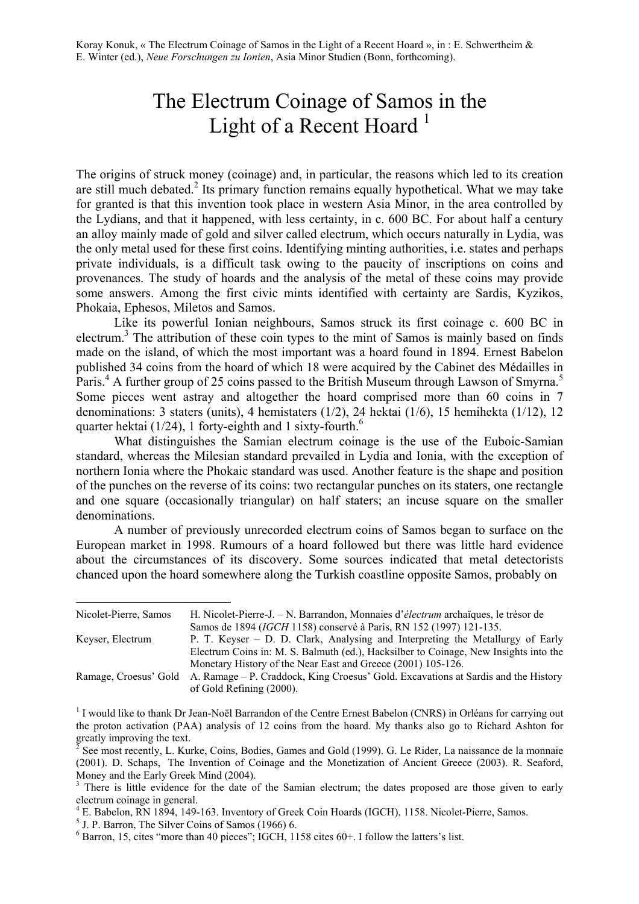# The Electrum Coinage of Samos in the Light of a Recent Hoard  $<sup>1</sup>$ </sup>

The origins of struck money (coinage) and, in particular, the reasons which led to its creation are still much debated.<sup>2</sup> Its primary function remains equally hypothetical. What we may take for granted is that this invention took place in western Asia Minor, in the area controlled by the Lydians, and that it happened, with less certainty, in c. 600 BC. For about half a century an alloy mainly made of gold and silver called electrum, which occurs naturally in Lydia, was the only metal used for these first coins. Identifying minting authorities, i.e. states and perhaps private individuals, is a difficult task owing to the paucity of inscriptions on coins and provenances. The study of hoards and the analysis of the metal of these coins may provide some answers. Among the first civic mints identified with certainty are Sardis, Kyzikos, Phokaia, Ephesos, Miletos and Samos.

Like its powerful Ionian neighbours, Samos struck its first coinage c. 600 BC in electrum.<sup>3</sup> The attribution of these coin types to the mint of Samos is mainly based on finds made on the island, of which the most important was a hoard found in 1894. Ernest Babelon published 34 coins from the hoard of which 18 were acquired by the Cabinet des Médailles in Paris.<sup>4</sup> A further group of 25 coins passed to the British Museum through Lawson of Smyrna.<sup>5</sup> Some pieces went astray and altogether the hoard comprised more than 60 coins in 7 denominations: 3 staters (units), 4 hemistaters (1/2), 24 hektai (1/6), 15 hemihekta (1/12), 12 quarter hektai  $(1/24)$ , 1 forty-eighth and 1 sixty-fourth.<sup>6</sup>

What distinguishes the Samian electrum coinage is the use of the Euboic-Samian standard, whereas the Milesian standard prevailed in Lydia and Ionia, with the exception of northern Ionia where the Phokaic standard was used. Another feature is the shape and position of the punches on the reverse of its coins: two rectangular punches on its staters, one rectangle and one square (occasionally triangular) on half staters; an incuse square on the smaller denominations.

A number of previously unrecorded electrum coins of Samos began to surface on the European market in 1998. Rumours of a hoard followed but there was little hard evidence about the circumstances of its discovery. Some sources indicated that metal detectorists chanced upon the hoard somewhere along the Turkish coastline opposite Samos, probably on

| Nicolet-Pierre, Samos | H. Nicolet-Pierre-J. – N. Barrandon, Monnaies d'électrum archaïques, le trésor de                              |
|-----------------------|----------------------------------------------------------------------------------------------------------------|
|                       | Samos de 1894 ( <i>IGCH</i> 1158) conservé à Paris, RN 152 (1997) 121-135.                                     |
| Keyser, Electrum      | P. T. Keyser – D. D. Clark, Analysing and Interpreting the Metallurgy of Early                                 |
|                       | Electrum Coins in: M. S. Balmuth (ed.), Hacksilber to Coinage, New Insights into the                           |
|                       | Monetary History of the Near East and Greece (2001) 105-126.                                                   |
| Ramage, Croesus' Gold | A. Ramage – P. Craddock, King Croesus' Gold. Excavations at Sardis and the History<br>of Gold Refining (2000). |

<sup>&</sup>lt;sup>1</sup> I would like to thank Dr Jean-Noël Barrandon of the Centre Ernest Babelon (CNRS) in Orléans for carrying out the proton activation (PAA) analysis of 12 coins from the hoard. My thanks also go to Richard Ashton for greatly improving the text.

<sup>4</sup> E. Babelon, RN 1894, 149-163. Inventory of Greek Coin Hoards (IGCH), 1158. Nicolet-Pierre, Samos.

 $^2$  See most recently, L. Kurke, Coins, Bodies, Games and Gold (1999). G. Le Rider, La naissance de la monnaie (2001). D. Schaps, The Invention of Coinage and the Monetization of Ancient Greece (2003). R. Seaford, Money and the Early Greek Mind (2004).

<sup>&</sup>lt;sup>3</sup> There is little evidence for the date of the Samian electrum; the dates proposed are those given to early electrum coinage in general.

<sup>5</sup> J. P. Barron, The Silver Coins of Samos (1966) 6.

 $6$  Barron, 15, cites "more than 40 pieces"; IGCH, 1158 cites  $60+$ . I follow the latters's list.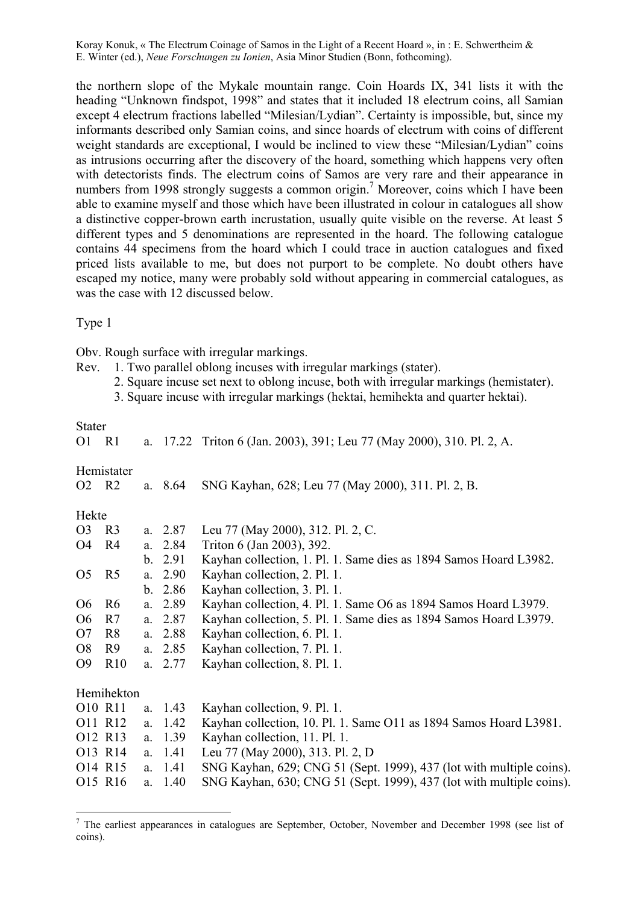the northern slope of the Mykale mountain range. Coin Hoards IX, 341 lists it with the heading "Unknown findspot, 1998" and states that it included 18 electrum coins, all Samian except 4 electrum fractions labelled "Milesian/Lydian". Certainty is impossible, but, since my informants described only Samian coins, and since hoards of electrum with coins of different weight standards are exceptional, I would be inclined to view these "Milesian/Lydian" coins as intrusions occurring after the discovery of the hoard, something which happens very often with detectorists finds. The electrum coins of Samos are very rare and their appearance in numbers from 1998 strongly suggests a common origin.<sup>7</sup> Moreover, coins which I have been able to examine myself and those which have been illustrated in colour in catalogues all show a distinctive copper-brown earth incrustation, usually quite visible on the reverse. At least 5 different types and 5 denominations are represented in the hoard. The following catalogue contains 44 specimens from the hoard which I could trace in auction catalogues and fixed priced lists available to me, but does not purport to be complete. No doubt others have escaped my notice, many were probably sold without appearing in commercial catalogues, as was the case with 12 discussed below.

Type 1

Obv. Rough surface with irregular markings.

- Rev. 1. Two parallel oblong incuses with irregular markings (stater).
	- 2. Square incuse set next to oblong incuse, both with irregular markings (hemistater).
	- 3. Square incuse with irregular markings (hektai, hemihekta and quarter hektai).

Stater

1

| O1             | R <sub>1</sub> |    |           | a. 17.22 Triton 6 (Jan. 2003), 391; Leu 77 (May 2000), 310. Pl. 2, A. |
|----------------|----------------|----|-----------|-----------------------------------------------------------------------|
| O2 R2          | Hemistater     |    | a. $8.64$ | SNG Kayhan, 628; Leu 77 (May 2000), 311. Pl. 2, B.                    |
| Hekte          |                |    |           |                                                                       |
| O <sub>3</sub> | R <sub>3</sub> |    | a. $2.87$ | Leu 77 (May 2000), 312. Pl. 2, C.                                     |
| O4             | R4             |    | a. $2.84$ | Triton 6 (Jan 2003), 392.                                             |
|                |                |    | b. 2.91   | Kayhan collection, 1. Pl. 1. Same dies as 1894 Samos Hoard L3982.     |
| O <sub>5</sub> | R <sub>5</sub> |    | a. $2.90$ | Kayhan collection, 2. Pl. 1.                                          |
|                |                |    | b. 2.86   | Kayhan collection, 3. Pl. 1.                                          |
| O <sub>6</sub> | R <sub>6</sub> |    | a. 2.89   | Kayhan collection, 4. Pl. 1. Same O6 as 1894 Samos Hoard L3979.       |
| O <sub>6</sub> | R7             |    | a. 2.87   | Kayhan collection, 5. Pl. 1. Same dies as 1894 Samos Hoard L3979.     |
| O <sub>7</sub> | R <sub>8</sub> |    | a. 2.88   | Kayhan collection, 6. Pl. 1.                                          |
| O <sub>8</sub> | R <sub>9</sub> |    | a. 2.85   | Kayhan collection, 7. Pl. 1.                                          |
| O <sub>9</sub> | R10            |    | a. $2.77$ | Kayhan collection, 8. Pl. 1.                                          |
|                | Hemihekton     |    |           |                                                                       |
| O10 R11        |                |    | a. 1.43   | Kayhan collection, 9. Pl. 1.                                          |
|                | O11 R12        | a. | 1.42      | Kayhan collection, 10. Pl. 1. Same O11 as 1894 Samos Hoard L3981.     |
| O12 R13        |                |    | a. 1.39   | Kayhan collection, 11. Pl. 1.                                         |
|                | O13 R14        | a. | 1.41      | Leu 77 (May 2000), 313. Pl. 2, D                                      |
|                | O14 R15        |    | a. 1.41   | SNG Kayhan, 629; CNG 51 (Sept. 1999), 437 (lot with multiple coins).  |
|                | O15 R16        | a. | 1.40      | SNG Kayhan, 630; CNG 51 (Sept. 1999), 437 (lot with multiple coins).  |
|                |                |    |           |                                                                       |

 $<sup>7</sup>$  The earliest appearances in catalogues are September, October, November and December 1998 (see list of</sup> coins).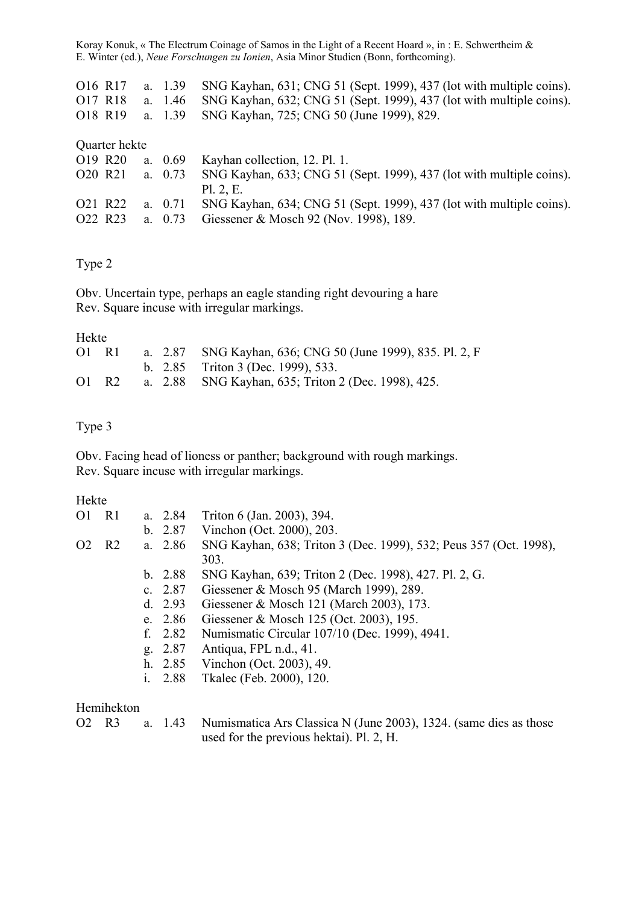| O16 R17                         |               | a. 1.39   | SNG Kayhan, 631; CNG 51 (Sept. 1999), 437 (lot with multiple coins). |
|---------------------------------|---------------|-----------|----------------------------------------------------------------------|
| O17 R18                         |               | a. $1.46$ | SNG Kayhan, 632; CNG 51 (Sept. 1999), 437 (lot with multiple coins). |
| O18 R19                         |               | a. 1.39   | SNG Kayhan, 725; CNG 50 (June 1999), 829.                            |
|                                 |               |           |                                                                      |
|                                 | Quarter hekte |           |                                                                      |
| O19 R20                         |               | a. $0.69$ | Kayhan collection, 12, Pl. 1.                                        |
| O <sub>20</sub> R <sub>21</sub> |               | a. $0.73$ | SNG Kayhan, 633; CNG 51 (Sept. 1999), 437 (lot with multiple coins). |
|                                 |               |           |                                                                      |
|                                 |               |           | P1.2.E.                                                              |
| O21 R22                         |               | a. $0.71$ | SNG Kayhan, 634; CNG 51 (Sept. 1999), 437 (lot with multiple coins). |

# Type 2

Obv. Uncertain type, perhaps an eagle standing right devouring a hare Rev. Square incuse with irregular markings.

#### Hekte

| 01 R1               | a. 2.87 SNG Kayhan, 636; CNG 50 (June 1999), 835. Pl. 2, F |
|---------------------|------------------------------------------------------------|
|                     | b. $2.85$ Triton 3 (Dec. 1999), 533.                       |
| $O1$ R <sub>2</sub> | a. 2.88 SNG Kayhan, 635; Triton 2 (Dec. 1998), 425.        |

## Type 3

Obv. Facing head of lioness or panther; background with rough markings. Rev. Square incuse with irregular markings.

#### Hekte

| O <sub>1</sub>                                | R1                        |  | a. $2.84$ | Triton 6 (Jan. 2003), 394.                                                |
|-----------------------------------------------|---------------------------|--|-----------|---------------------------------------------------------------------------|
|                                               |                           |  | b. 2.87   | Vinchon (Oct. 2000), 203.                                                 |
| a. $2.86$<br>O <sub>2</sub><br>R <sub>2</sub> |                           |  |           | SNG Kayhan, 638; Triton 3 (Dec. 1999), 532; Peus 357 (Oct. 1998),<br>303. |
|                                               |                           |  | b. 2.88   | SNG Kayhan, 639; Triton 2 (Dec. 1998), 427. Pl. 2, G.                     |
|                                               |                           |  | c. $2.87$ | Giessener & Mosch 95 (March 1999), 289.                                   |
|                                               |                           |  | d. $2.93$ | Giessener & Mosch 121 (March 2003), 173.                                  |
|                                               |                           |  | e. $2.86$ | Giessener & Mosch 125 (Oct. 2003), 195.                                   |
|                                               |                           |  | f. $2.82$ | Numismatic Circular 107/10 (Dec. 1999), 4941.                             |
|                                               |                           |  | g. 2.87   | Antiqua, FPL n.d., 41.                                                    |
|                                               |                           |  |           | h. $2.85$ Vinchon (Oct. 2003), 49.                                        |
|                                               |                           |  | i. $2.88$ | Tkalec (Feb. 2000), 120.                                                  |
|                                               | $U$ <sub>omibolzton</sub> |  |           |                                                                           |

#### Hemihekton

O2 R3 a. 1.43 Numismatica Ars Classica N (June 2003), 1324. (same dies as those used for the previous hektai). Pl. 2, H.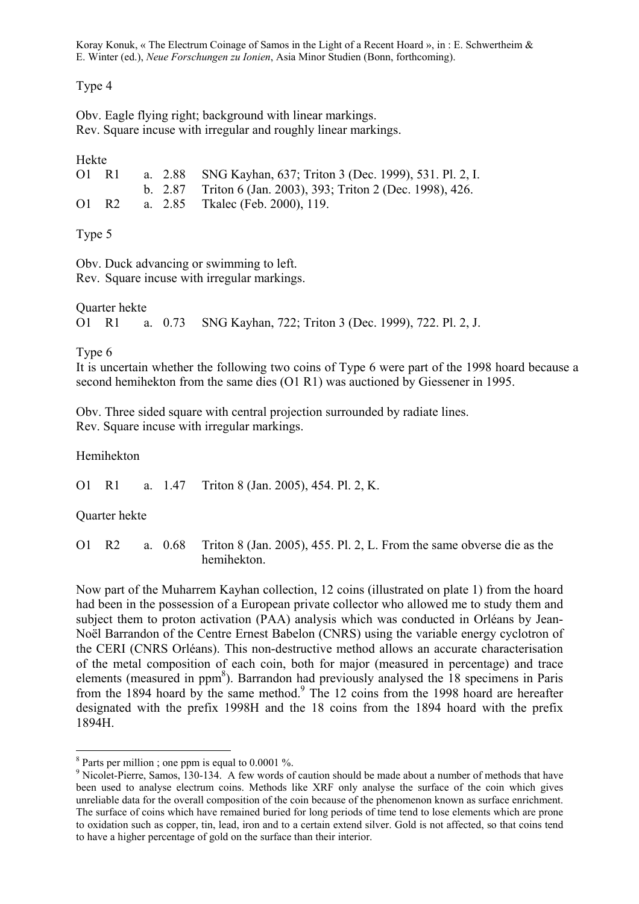Type 4

Obv. Eagle flying right; background with linear markings. Rev. Square incuse with irregular and roughly linear markings.

| Hekte |                     |  |                                                               |
|-------|---------------------|--|---------------------------------------------------------------|
|       | $O1$ R1             |  | a. 2.88 SNG Kayhan, 637; Triton 3 (Dec. 1999), 531. Pl. 2, I. |
|       |                     |  | b. 2.87 Triton 6 (Jan. 2003), 393; Triton 2 (Dec. 1998), 426. |
|       | $O1$ R <sub>2</sub> |  | a. 2.85 Tkalec (Feb. 2000), 119.                              |
|       |                     |  |                                                               |

Type 5

Obv. Duck advancing or swimming to left. Rev. Square incuse with irregular markings.

Quarter hekte O1 R1 a. 0.73 SNG Kayhan, 722; Triton 3 (Dec. 1999), 722. Pl. 2, J.

Type 6

It is uncertain whether the following two coins of Type 6 were part of the 1998 hoard because a second hemihekton from the same dies (O1 R1) was auctioned by Giessener in 1995.

Obv. Three sided square with central projection surrounded by radiate lines. Rev. Square incuse with irregular markings.

Hemihekton

O1 R1 a. 1.47 Triton 8 (Jan. 2005), 454. Pl. 2, K.

Quarter hekte

O1 R2 a. 0.68 Triton 8 (Jan. 2005), 455. Pl. 2, L. From the same obverse die as the hemihekton.

Now part of the Muharrem Kayhan collection, 12 coins (illustrated on plate 1) from the hoard had been in the possession of a European private collector who allowed me to study them and subject them to proton activation (PAA) analysis which was conducted in Orléans by Jean-Noël Barrandon of the Centre Ernest Babelon (CNRS) using the variable energy cyclotron of the CERI (CNRS Orléans). This non-destructive method allows an accurate characterisation of the metal composition of each coin, both for major (measured in percentage) and trace elements (measured in ppm<sup>8</sup>). Barrandon had previously analysed the 18 specimens in Paris from the 1894 hoard by the same method.<sup>9</sup> The 12 coins from the 1998 hoard are hereafter designated with the prefix 1998H and the 18 coins from the 1894 hoard with the prefix 1894H.

<sup>1</sup> <sup>8</sup> Parts per million ; one ppm is equal to 0.0001 %.

<sup>&</sup>lt;sup>9</sup> Nicolet-Pierre, Samos, 130-134. A few words of caution should be made about a number of methods that have been used to analyse electrum coins. Methods like XRF only analyse the surface of the coin which gives unreliable data for the overall composition of the coin because of the phenomenon known as surface enrichment. The surface of coins which have remained buried for long periods of time tend to lose elements which are prone to oxidation such as copper, tin, lead, iron and to a certain extend silver. Gold is not affected, so that coins tend to have a higher percentage of gold on the surface than their interior.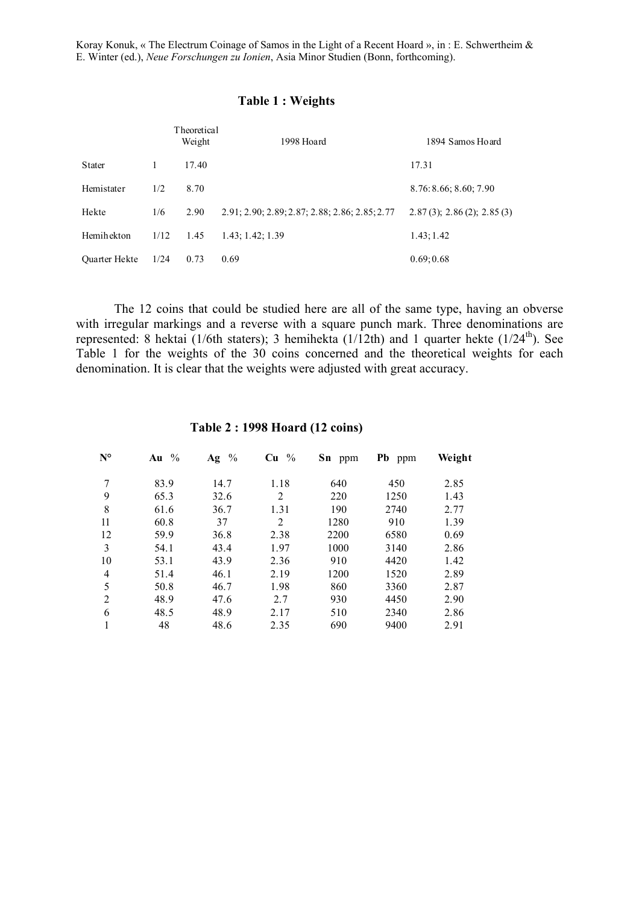#### **Table 1 : Weights**

|                      |      | Theoretical<br>Weight | 1998 Hoard                                     | 1894 Samos Hoard                  |
|----------------------|------|-----------------------|------------------------------------------------|-----------------------------------|
| <b>Stater</b>        |      | 17.40                 |                                                | 17.31                             |
| Hemistater           | 1/2  | 8.70                  |                                                | 8.76:8.66; 8.60; 7.90             |
| Hekte                | 1/6  | 2.90                  | 2.91; 2.90; 2.89; 2.87; 2.88; 2.86; 2.85; 2.77 | $2.87(3)$ ; $2.86(2)$ ; $2.85(3)$ |
| Hemihekton           | 1/12 | 1.45                  | 1.43; 1.42; 1.39                               | 1.43; 1.42                        |
| <b>Ouarter Hekte</b> | 1/24 | 0.73                  | 0.69                                           | 0.69:0.68                         |

The 12 coins that could be studied here are all of the same type, having an obverse with irregular markings and a reverse with a square punch mark. Three denominations are represented: 8 hektai (1/6th staters); 3 hemihekta (1/12th) and 1 quarter hekte (1/24<sup>th</sup>). See Table 1 for the weights of the 30 coins concerned and the theoretical weights for each denomination. It is clear that the weights were adjusted with great accuracy.

| N°             | Au $\%$ | $\frac{0}{0}$<br>Ag | $\frac{0}{0}$<br>Cu | Sn ppm | Pb ppm | Weight |
|----------------|---------|---------------------|---------------------|--------|--------|--------|
| 7              | 83.9    | 14.7                | 1.18                | 640    | 450    | 2.85   |
| 9              | 65.3    | 32.6                | 2                   | 220    | 1250   | 1.43   |
| 8              | 61.6    | 36.7                | 1.31                | 190    | 2740   | 2.77   |
| 11             | 60.8    | 37                  | 2                   | 1280   | 910    | 1.39   |
| 12             | 59.9    | 36.8                | 2.38                | 2200   | 6580   | 0.69   |
| 3              | 54.1    | 43.4                | 1.97                | 1000   | 3140   | 2.86   |
| 10             | 53.1    | 43.9                | 2.36                | 910    | 4420   | 1.42   |
| $\overline{4}$ | 51.4    | 46.1                | 2.19                | 1200   | 1520   | 2.89   |
| 5              | 50.8    | 46.7                | 1.98                | 860    | 3360   | 2.87   |
| 2              | 48.9    | 47.6                | 2.7                 | 930    | 4450   | 2.90   |
| 6              | 48.5    | 48.9                | 2.17                | 510    | 2340   | 2.86   |
|                | 48      | 48.6                | 2.35                | 690    | 9400   | 2.91   |

#### **Table 2 : 1998 Hoard (12 coins)**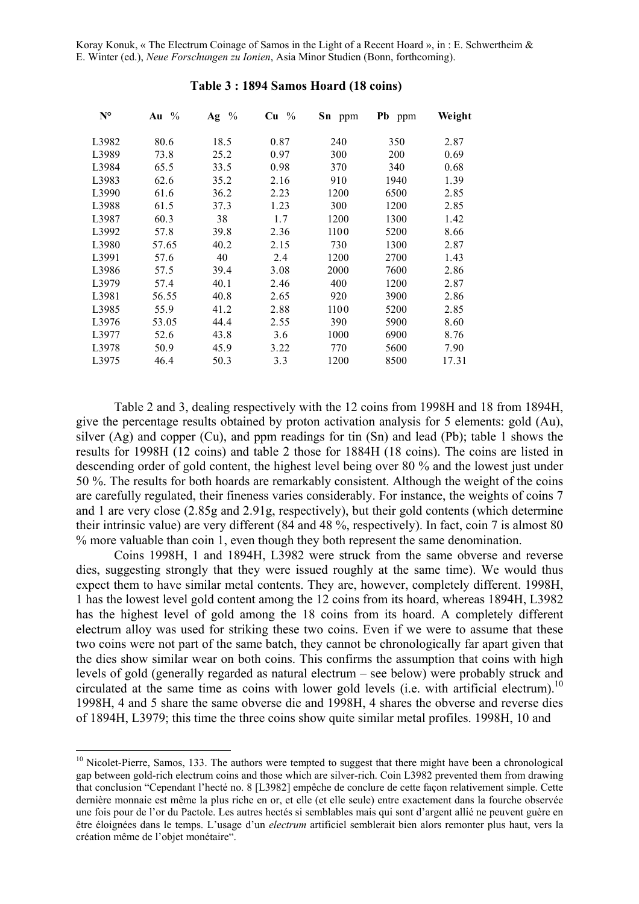| $N^{\circ}$ | $\frac{0}{0}$<br>Au | $\frac{0}{0}$<br>Ag | $Cu$ % | Sn ppm | Pb ppm | Weight |
|-------------|---------------------|---------------------|--------|--------|--------|--------|
| L3982       | 80.6                | 18.5                | 0.87   | 240    | 350    | 2.87   |
| L3989       | 73.8                | 25.2                | 0.97   | 300    | 200    | 0.69   |
| L3984       | 65.5                | 33.5                | 0.98   | 370    | 340    | 0.68   |
| L3983       | 62.6                | 35.2                | 2.16   | 910    | 1940   | 1.39   |
| L3990       | 61.6                | 36.2                | 2.23   | 1200   | 6500   | 2.85   |
| L3988       | 61.5                | 37.3                | 1.23   | 300    | 1200   | 2.85   |
| L3987       | 60.3                | 38                  | 1.7    | 1200   | 1300   | 1.42   |
| L3992       | 57.8                | 39.8                | 2.36   | 1100   | 5200   | 8.66   |
| L3980       | 57.65               | 40.2                | 2.15   | 730    | 1300   | 2.87   |
| L3991       | 57.6                | 40                  | 2.4    | 1200   | 2700   | 1.43   |
| L3986       | 57.5                | 39.4                | 3.08   | 2000   | 7600   | 2.86   |
| L3979       | 57.4                | 40.1                | 2.46   | 400    | 1200   | 2.87   |
| L3981       | 56.55               | 40.8                | 2.65   | 920    | 3900   | 2.86   |
| L3985       | 55.9                | 41.2                | 2.88   | 1100   | 5200   | 2.85   |
| L3976       | 53.05               | 44.4                | 2.55   | 390    | 5900   | 8.60   |
| L3977       | 52.6                | 43.8                | 3.6    | 1000   | 6900   | 8.76   |
| L3978       | 50.9                | 45.9                | 3.22   | 770    | 5600   | 7.90   |
| L3975       | 46.4                | 50.3                | 3.3    | 1200   | 8500   | 17.31  |

#### **Table 3 : 1894 Samos Hoard (18 coins)**

Table 2 and 3, dealing respectively with the 12 coins from 1998H and 18 from 1894H, give the percentage results obtained by proton activation analysis for 5 elements: gold (Au), silver (Ag) and copper (Cu), and ppm readings for tin (Sn) and lead (Pb); table 1 shows the results for 1998H (12 coins) and table 2 those for 1884H (18 coins). The coins are listed in descending order of gold content, the highest level being over 80 % and the lowest just under 50 %. The results for both hoards are remarkably consistent. Although the weight of the coins are carefully regulated, their fineness varies considerably. For instance, the weights of coins 7 and 1 are very close (2.85g and 2.91g, respectively), but their gold contents (which determine their intrinsic value) are very different (84 and 48 %, respectively). In fact, coin 7 is almost 80 % more valuable than coin 1, even though they both represent the same denomination.

Coins 1998H, 1 and 1894H, L3982 were struck from the same obverse and reverse dies, suggesting strongly that they were issued roughly at the same time). We would thus expect them to have similar metal contents. They are, however, completely different. 1998H, 1 has the lowest level gold content among the 12 coins from its hoard, whereas 1894H, L3982 has the highest level of gold among the 18 coins from its hoard. A completely different electrum alloy was used for striking these two coins. Even if we were to assume that these two coins were not part of the same batch, they cannot be chronologically far apart given that the dies show similar wear on both coins. This confirms the assumption that coins with high levels of gold (generally regarded as natural electrum – see below) were probably struck and circulated at the same time as coins with lower gold levels (i.e. with artificial electrum).<sup>10</sup> 1998H, 4 and 5 share the same obverse die and 1998H, 4 shares the obverse and reverse dies of 1894H, L3979; this time the three coins show quite similar metal profiles. 1998H, 10 and

1

 $10$  Nicolet-Pierre, Samos, 133. The authors were tempted to suggest that there might have been a chronological gap between gold-rich electrum coins and those which are silver-rich. Coin L3982 prevented them from drawing that conclusion "Cependant l'hecté no. 8 [L3982] empêche de conclure de cette façon relativement simple. Cette dernière monnaie est même la plus riche en or, et elle (et elle seule) entre exactement dans la fourche observée une fois pour de l'or du Pactole. Les autres hectés si semblables mais qui sont d'argent allié ne peuvent guère en être éloignées dans le temps. L'usage d'un *electrum* artificiel semblerait bien alors remonter plus haut, vers la création même de l'objet monétaire".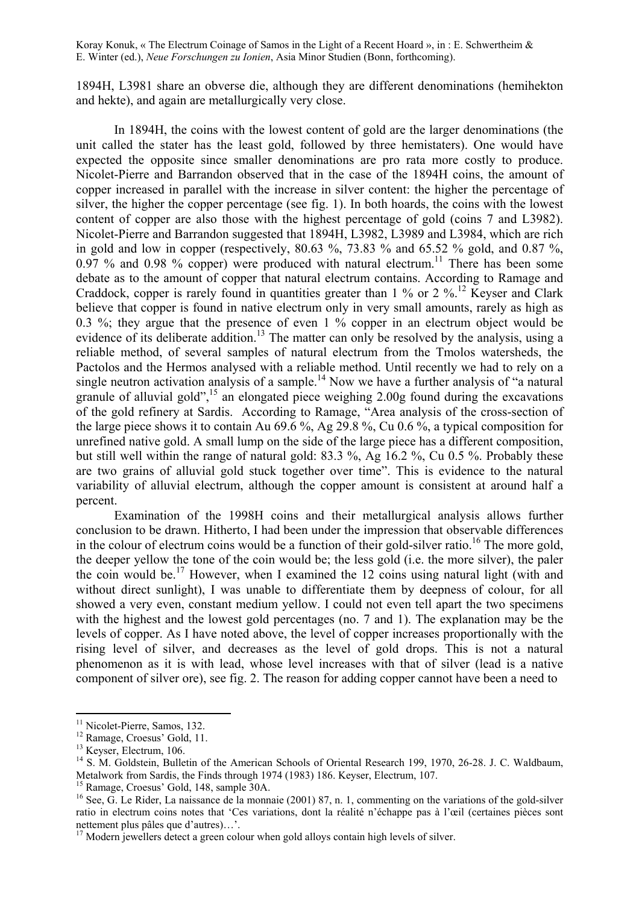1894H, L3981 share an obverse die, although they are different denominations (hemihekton and hekte), and again are metallurgically very close.

In 1894H, the coins with the lowest content of gold are the larger denominations (the unit called the stater has the least gold, followed by three hemistaters). One would have expected the opposite since smaller denominations are pro rata more costly to produce. Nicolet-Pierre and Barrandon observed that in the case of the 1894H coins, the amount of copper increased in parallel with the increase in silver content: the higher the percentage of silver, the higher the copper percentage (see fig. 1). In both hoards, the coins with the lowest content of copper are also those with the highest percentage of gold (coins 7 and L3982). Nicolet-Pierre and Barrandon suggested that 1894H, L3982, L3989 and L3984, which are rich in gold and low in copper (respectively,  $80.63\%$ ,  $73.83\%$  and  $65.52\%$  gold, and  $0.87\%$ , 0.97 % and 0.98 % copper) were produced with natural electrum.<sup>11</sup> There has been some debate as to the amount of copper that natural electrum contains. According to Ramage and Craddock, copper is rarely found in quantities greater than 1 % or 2 %.<sup>12</sup> Keyser and Clark believe that copper is found in native electrum only in very small amounts, rarely as high as 0.3 %; they argue that the presence of even 1 % copper in an electrum object would be evidence of its deliberate addition.<sup>13</sup> The matter can only be resolved by the analysis, using a reliable method, of several samples of natural electrum from the Tmolos watersheds, the Pactolos and the Hermos analysed with a reliable method. Until recently we had to rely on a single neutron activation analysis of a sample.<sup>14</sup> Now we have a further analysis of "a natural" granule of alluvial gold", $^{15}$  an elongated piece weighing 2.00g found during the excavations of the gold refinery at Sardis. According to Ramage, "Area analysis of the cross-section of the large piece shows it to contain Au 69.6 %, Ag 29.8 %, Cu 0.6 %, a typical composition for unrefined native gold. A small lump on the side of the large piece has a different composition, but still well within the range of natural gold: 83.3 %, Ag 16.2 %, Cu 0.5 %. Probably these are two grains of alluvial gold stuck together over time". This is evidence to the natural variability of alluvial electrum, although the copper amount is consistent at around half a percent.

Examination of the 1998H coins and their metallurgical analysis allows further conclusion to be drawn. Hitherto, I had been under the impression that observable differences in the colour of electrum coins would be a function of their gold-silver ratio.<sup>16</sup> The more gold, the deeper yellow the tone of the coin would be; the less gold (i.e. the more silver), the paler the coin would be.<sup>17</sup> However, when I examined the 12 coins using natural light (with and without direct sunlight), I was unable to differentiate them by deepness of colour, for all showed a very even, constant medium yellow. I could not even tell apart the two specimens with the highest and the lowest gold percentages (no. 7 and 1). The explanation may be the levels of copper. As I have noted above, the level of copper increases proportionally with the rising level of silver, and decreases as the level of gold drops. This is not a natural phenomenon as it is with lead, whose level increases with that of silver (lead is a native component of silver ore), see fig. 2. The reason for adding copper cannot have been a need to

<sup>1</sup> <sup>11</sup> Nicolet-Pierre, Samos, 132.

<sup>&</sup>lt;sup>12</sup> Ramage, Croesus' Gold, 11.

<sup>&</sup>lt;sup>13</sup> Keyser, Electrum, 106.

<sup>&</sup>lt;sup>14</sup> S. M. Goldstein, Bulletin of the American Schools of Oriental Research 199, 1970, 26-28. J. C. Waldbaum, Metalwork from Sardis, the Finds through 1974 (1983) 186. Keyser, Electrum, 107.

<sup>15</sup> Ramage, Croesus' Gold, 148, sample 30A.

<sup>&</sup>lt;sup>16</sup> See, G. Le Rider, La naissance de la monnaie (2001) 87, n. 1, commenting on the variations of the gold-silver ratio in electrum coins notes that 'Ces variations, dont la réalité n'échappe pas à l'œil (certaines pièces sont nettement plus pâles que d'autres)…'.

 $17$  Modern jewellers detect a green colour when gold alloys contain high levels of silver.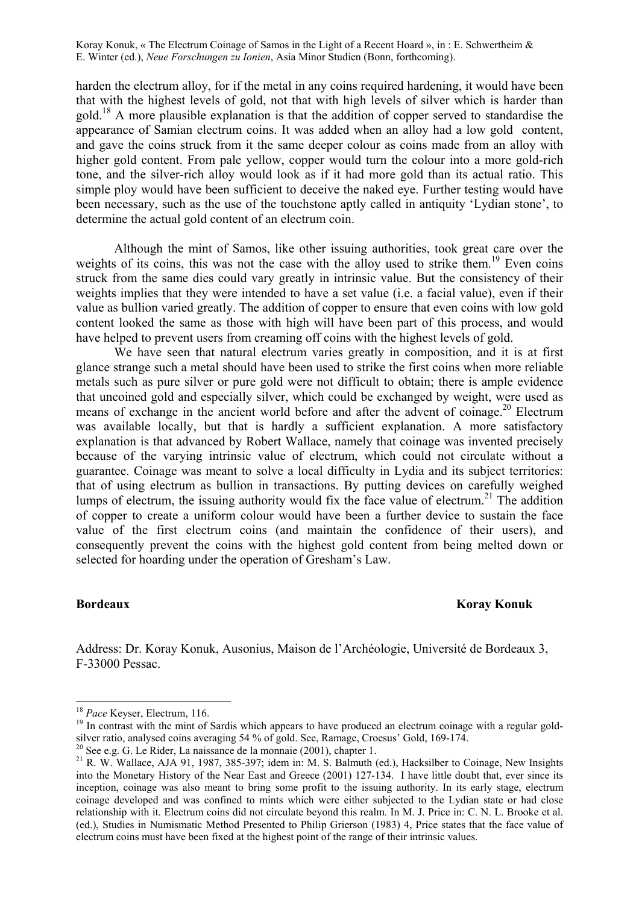harden the electrum alloy, for if the metal in any coins required hardening, it would have been that with the highest levels of gold, not that with high levels of silver which is harder than gold.18 A more plausible explanation is that the addition of copper served to standardise the appearance of Samian electrum coins. It was added when an alloy had a low gold content, and gave the coins struck from it the same deeper colour as coins made from an alloy with higher gold content. From pale yellow, copper would turn the colour into a more gold-rich tone, and the silver-rich alloy would look as if it had more gold than its actual ratio. This simple ploy would have been sufficient to deceive the naked eye. Further testing would have been necessary, such as the use of the touchstone aptly called in antiquity 'Lydian stone', to determine the actual gold content of an electrum coin.

Although the mint of Samos, like other issuing authorities, took great care over the weights of its coins, this was not the case with the alloy used to strike them.<sup>19</sup> Even coins struck from the same dies could vary greatly in intrinsic value. But the consistency of their weights implies that they were intended to have a set value (i.e. a facial value), even if their value as bullion varied greatly. The addition of copper to ensure that even coins with low gold content looked the same as those with high will have been part of this process, and would have helped to prevent users from creaming off coins with the highest levels of gold.

We have seen that natural electrum varies greatly in composition, and it is at first glance strange such a metal should have been used to strike the first coins when more reliable metals such as pure silver or pure gold were not difficult to obtain; there is ample evidence that uncoined gold and especially silver, which could be exchanged by weight, were used as means of exchange in the ancient world before and after the advent of coinage.<sup>20</sup> Electrum was available locally, but that is hardly a sufficient explanation. A more satisfactory explanation is that advanced by Robert Wallace, namely that coinage was invented precisely because of the varying intrinsic value of electrum, which could not circulate without a guarantee. Coinage was meant to solve a local difficulty in Lydia and its subject territories: that of using electrum as bullion in transactions. By putting devices on carefully weighed lumps of electrum, the issuing authority would fix the face value of electrum.<sup>21</sup> The addition of copper to create a uniform colour would have been a further device to sustain the face value of the first electrum coins (and maintain the confidence of their users), and consequently prevent the coins with the highest gold content from being melted down or selected for hoarding under the operation of Gresham's Law.

<u>.</u>

## **Bordeaux Koray Konuk**

Address: Dr. Koray Konuk, Ausonius, Maison de l'Archéologie, Université de Bordeaux 3, F-33000 Pessac.

<sup>&</sup>lt;sup>18</sup> *Pace* Keyser, Electrum, 116.<br><sup>19</sup> In contrast with the mint of Sardis which appears to have produced an electrum coinage with a regular goldsilver ratio, analysed coins averaging 54 % of gold. See, Ramage, Croesus' Gold, 169-174.

 $20$  See e.g. G. Le Rider, La naissance de la monnaie (2001), chapter 1.

<sup>&</sup>lt;sup>21</sup> R. W. Wallace, AJA 91, 1987, 385-397; idem in: M. S. Balmuth (ed.), Hacksilber to Coinage, New Insights into the Monetary History of the Near East and Greece (2001) 127-134. I have little doubt that, ever since its inception, coinage was also meant to bring some profit to the issuing authority. In its early stage, electrum coinage developed and was confined to mints which were either subjected to the Lydian state or had close relationship with it. Electrum coins did not circulate beyond this realm. In M. J. Price in: C. N. L. Brooke et al. (ed.), Studies in Numismatic Method Presented to Philip Grierson (1983) 4, Price states that the face value of electrum coins must have been fixed at the highest point of the range of their intrinsic values.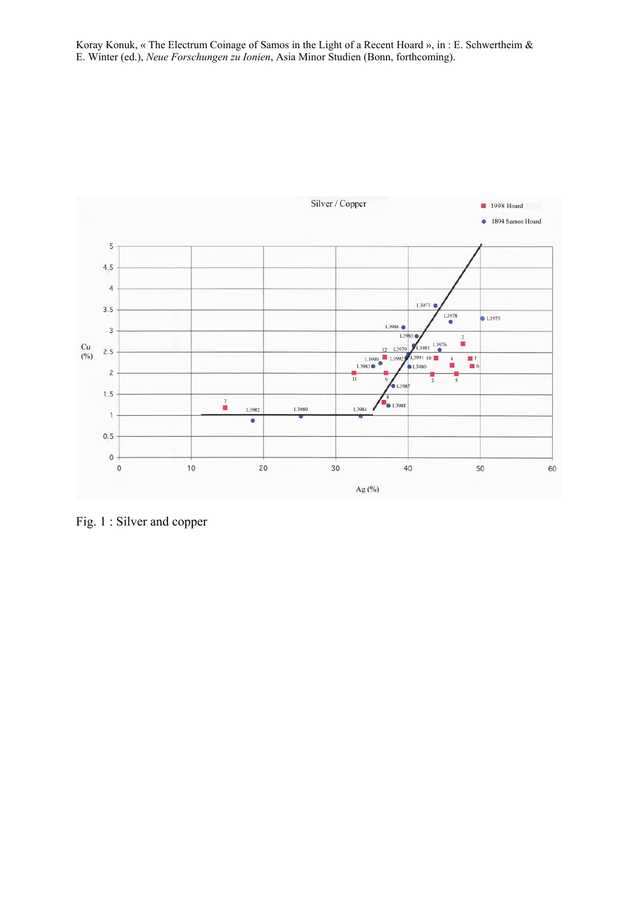

Fig. 1 : Silver and copper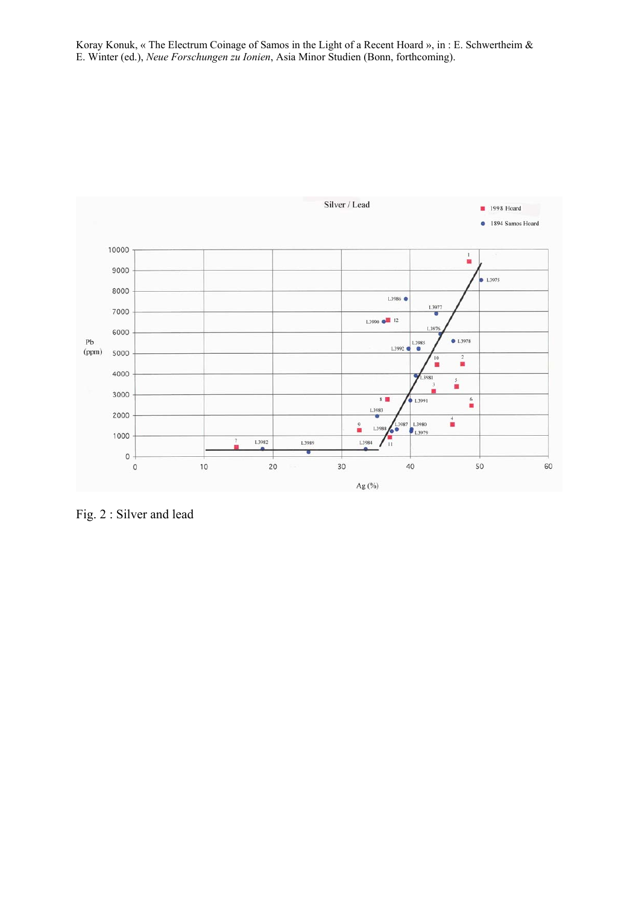

Fig. 2 : Silver and lead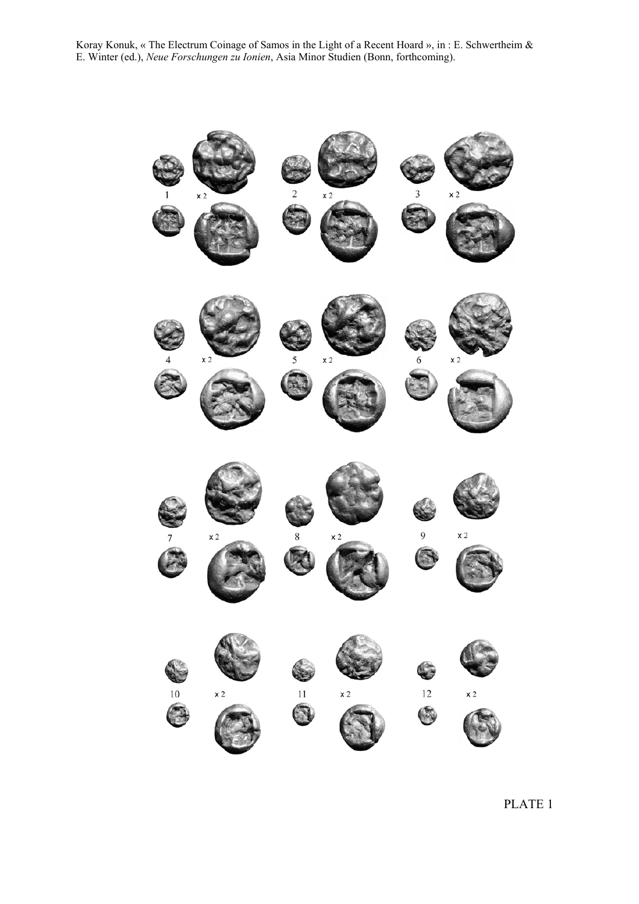

PLATE 1